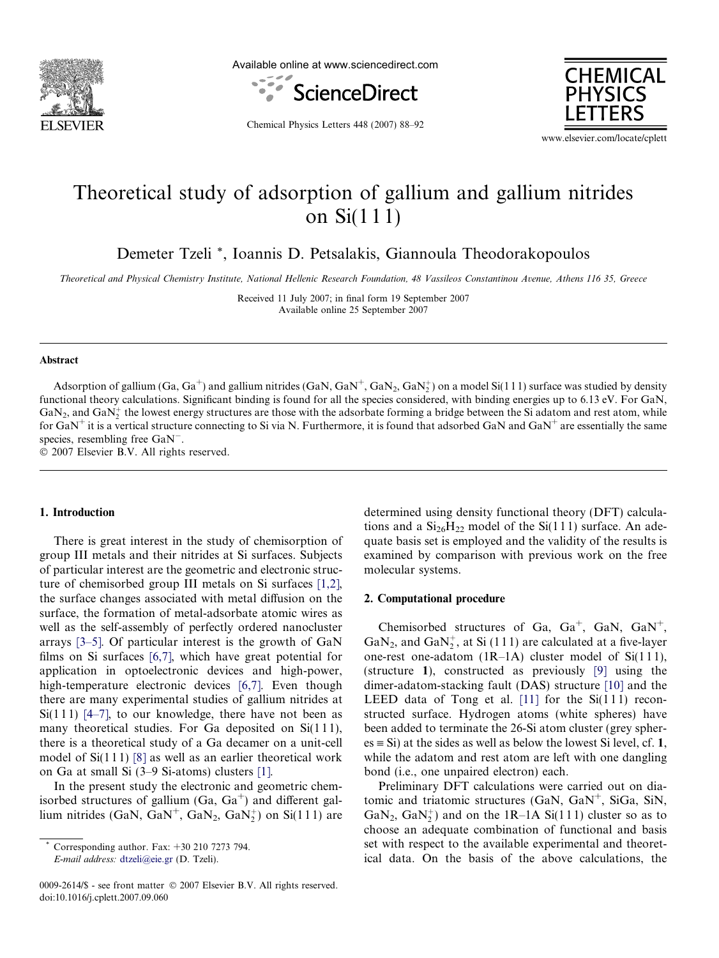

Available online at www.sciencedirect.com





Chemical Physics Letters 448 (2007) 88–92

www.elsevier.com/locate/cplett

# Theoretical study of adsorption of gallium and gallium nitrides on Si(1 1 1)

Demeter Tzeli \*, Ioannis D. Petsalakis, Giannoula Theodorakopoulos

Theoretical and Physical Chemistry Institute, National Hellenic Research Foundation, 48 Vassileos Constantinou Avenue, Athens 116 35, Greece

Received 11 July 2007; in final form 19 September 2007 Available online 25 September 2007

#### Abstract

Adsorption of gallium (Ga, Ga<sup>+</sup>) and gallium nitrides (GaN, GaN<sup>+</sup>, GaN<sub>2</sub>, GaN<sub>2</sub><sup>+</sup>) on a model Si(111) surface was studied by density functional theory calculations. Significant binding is found for all the species considered, with binding energies up to 6.13 eV. For GaN,  $GaN_2$ , and  $GaN_2^+$  the lowest energy structures are those with the adsorbate forming a bridge between the Si adatom and rest atom, while for  $GaN^+$  it is a vertical structure connecting to Si via N. Furthermore, it is found that adsorbed  $GaN$  and  $GaN^+$  are essentially the same species, resembling free  $\text{GaN}^-$ .

 $© 2007 Elsevier B.V. All rights reserved.$ 

#### 1. Introduction

There is great interest in the study of chemisorption of group III metals and their nitrides at Si surfaces. Subjects of particular interest are the geometric and electronic structure of chemisorbed group III metals on Si surfaces [\[1,2\]](#page-4-0), the surface changes associated with metal diffusion on the surface, the formation of metal-adsorbate atomic wires as well as the self-assembly of perfectly ordered nanocluster arrays [\[3–5\].](#page-4-0) Of particular interest is the growth of GaN films on Si surfaces [\[6,7\],](#page-4-0) which have great potential for application in optoelectronic devices and high-power, high-temperature electronic devices [\[6,7\].](#page-4-0) Even though there are many experimental studies of gallium nitrides at Si(111) [\[4–7\],](#page-4-0) to our knowledge, there have not been as many theoretical studies. For Ga deposited on  $Si(111)$ , there is a theoretical study of a Ga decamer on a unit-cell model of  $Si(111)$  [\[8\]](#page-4-0) as well as an earlier theoretical work on Ga at small Si (3–9 Si-atoms) clusters [\[1\].](#page-4-0)

In the present study the electronic and geometric chemisorbed structures of gallium  $(Ga, Ga<sup>+</sup>)$  and different gallium nitrides (GaN, GaN<sup>+</sup>, GaN<sub>2</sub>, GaN<sub>2</sub><sup>+</sup>) on Si(111) are

E-mail address: [dtzeli@eie.gr](mailto:dtzeli@eie.gr) (D. Tzeli).

0009-2614/\$ - see front matter © 2007 Elsevier B.V. All rights reserved. doi:10.1016/j.cplett.2007.09.060

determined using density functional theory (DFT) calculations and a  $Si<sub>26</sub>H<sub>22</sub>$  model of the Si(111) surface. An adequate basis set is employed and the validity of the results is examined by comparison with previous work on the free molecular systems.

#### 2. Computational procedure

Chemisorbed structures of Ga, Ga<sup>+</sup>, GaN, GaN<sup>+</sup>, GaN<sub>2</sub>, and GaN<sub>2</sub><sup>+</sup>, at Si (111) are calculated at a five-layer one-rest one-adatom  $(1R-1A)$  cluster model of Si $(111)$ , (structure 1), constructed as previously [\[9\]](#page-4-0) using the dimer-adatom-stacking fault (DAS) structure [\[10\]](#page-4-0) and the LEED data of Tong et al.  $[11]$  for the Si $(111)$  reconstructed surface. Hydrogen atoms (white spheres) have been added to terminate the 26-Si atom cluster (grey spher $es \equiv Si$ ) at the sides as well as below the lowest Si level, cf. 1, while the adatom and rest atom are left with one dangling bond (i.e., one unpaired electron) each.

Preliminary DFT calculations were carried out on diatomic and triatomic structures  $(GaN, GaN^+$ , SiGa, SiN, GaN<sub>2</sub>, GaN<sub>2</sub><sup>+</sup>) and on the 1R-1A Si(111) cluster so as to choose an adequate combination of functional and basis set with respect to the available experimental and theoretical data. On the basis of the above calculations, the

Corresponding author. Fax:  $+30$  210 7273 794.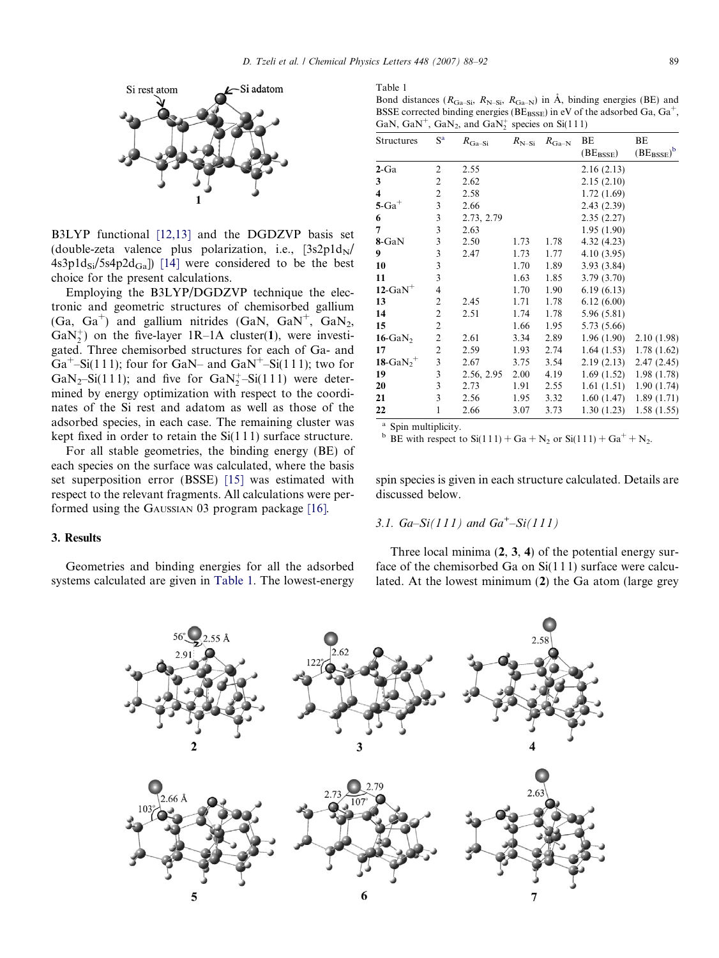<span id="page-1-0"></span>

B3LYP functional [\[12,13\]](#page-4-0) and the DGDZVP basis set (double-zeta valence plus polarization, i.e.,  $[3s2p1d_N]$  $4s3p1d_{Si}/5s4p2d_{Ga}$ ] [\[14\]](#page-4-0) were considered to be the best choice for the present calculations.

Employing the B3LYP/DGDZVP technique the electronic and geometric structures of chemisorbed gallium  $(Ga, Ga<sup>+</sup>)$  and gallium nitrides  $(GaN, GaN<sup>+</sup>, GaN<sub>2</sub>)$ , GaN<sup>+</sup><sub>2</sub>) on the five-layer 1R-1A cluster(1), were investigated. Three chemisorbed structures for each of Ga- and  $Ga^+$ –Si(111); four for GaN– and GaN<sup>+</sup>–Si(111); two for GaN<sub>2</sub>-Si(111); and five for GaN<sub>2</sub><sup>+</sup>-Si(111) were determined by energy optimization with respect to the coordinates of the Si rest and adatom as well as those of the adsorbed species, in each case. The remaining cluster was kept fixed in order to retain the Si(1 1 1) surface structure.

For all stable geometries, the binding energy (BE) of each species on the surface was calculated, where the basis set superposition error (BSSE) [\[15\]](#page-4-0) was estimated with respect to the relevant fragments. All calculations were performed using the GAUSSIAN 03 program package [\[16\]](#page-4-0).

## 3. Results

Geometries and binding energies for all the adsorbed systems calculated are given in Table 1. The lowest-energy

| anie |  |
|------|--|
|------|--|

Bond distances ( $R_{Ga-Si}$ ,  $R_{N-Si}$ ,  $R_{Ga-N}$ ) in Å, binding energies (BE) and BSSE corrected binding energies ( $BE_{BSSE}$ ) in eV of the adsorbed Ga,  $Ga<sup>+</sup>$ , GaN, GaN<sup>+</sup>, GaN<sub>2</sub>, and GaN<sup>+</sup><sub>2</sub> species on Si(111)

| <b>Structures</b>        | $S^a$          | $R_{\rm Ga-Si}$ | $R_{N-Si}$ | $R_{\rm Ga-N}$ | ВE                | ВE                  |
|--------------------------|----------------|-----------------|------------|----------------|-------------------|---------------------|
|                          |                |                 |            |                | $(BE_{\rm BSSE})$ | $(BE_{\rm BSSE})^b$ |
| $2$ -Ga                  | 2              | 2.55            |            |                | 2.16(2.13)        |                     |
| 3                        | 2              | 2.62            |            |                | 2.15(2.10)        |                     |
| 4                        | $\mathfrak{2}$ | 2.58            |            |                | 1.72(1.69)        |                     |
| $5$ -Ga <sup>+</sup>     | 3              | 2.66            |            |                | 2.43(2.39)        |                     |
| 6                        | 3              | 2.73, 2.79      |            |                | 2.35(2.27)        |                     |
| 7                        | 3              | 2.63            |            |                | 1.95(1.90)        |                     |
| 8-GaN                    | 3              | 2.50            | 1.73       | 1.78           | 4.32(4.23)        |                     |
| 9                        | 3              | 2.47            | 1.73       | 1.77           | 4.10(3.95)        |                     |
| 10                       | 3              |                 | 1.70       | 1.89           | 3.93(3.84)        |                     |
| 11                       | 3              |                 | 1.63       | 1.85           | 3.79 (3.70)       |                     |
| $12$ -GaN <sup>+</sup>   | 4              |                 | 1.70       | 1.90           | 6.19(6.13)        |                     |
| 13                       | $\overline{c}$ | 2.45            | 1.71       | 1.78           | 6.12(6.00)        |                     |
| 14                       | $\overline{c}$ | 2.51            | 1.74       | 1.78           | 5.96 (5.81)       |                     |
| 15                       | $\overline{c}$ |                 | 1.66       | 1.95           | 5.73 (5.66)       |                     |
| $16$ -GaN <sub>2</sub>   | $\mathfrak{2}$ | 2.61            | 3.34       | 2.89           | 1.96(1.90)        | 2.10(1.98)          |
| 17                       | $\overline{c}$ | 2.59            | 1.93       | 2.74           | 1.64(1.53)        | 1.78(1.62)          |
| 18-Ga $N_2$ <sup>+</sup> | 3              | 2.67            | 3.75       | 3.54           | 2.19(2.13)        | 2.47(2.45)          |
| 19                       | $\overline{3}$ | 2.56, 2.95      | 2.00       | 4.19           | 1.69(1.52)        | 1.98(1.78)          |
| 20                       | 3              | 2.73            | 1.91       | 2.55           | 1.61(1.51)        | 1.90(1.74)          |
| 21                       | 3              | 2.56            | 1.95       | 3.32           | 1.60(1.47)        | 1.89(1.71)          |
| 22                       | 1              | 2.66            | 3.07       | 3.73           | 1.30(1.23)        | 1.58(1.55)          |

<sup>a</sup> Spin multiplicity.

<sup>b</sup> BE with respect to  $Si(111) + Ga + N_2$  or  $Si(111) + Ga^+ + N_2$ .

spin species is given in each structure calculated. Details are discussed below.

## 3.1.  $Ga-Si(111)$  and  $Ga<sup>+</sup>-Si(111)$

Three local minima (2, 3, 4) of the potential energy surface of the chemisorbed Ga on Si(1 1 1) surface were calculated. At the lowest minimum (2) the Ga atom (large grey

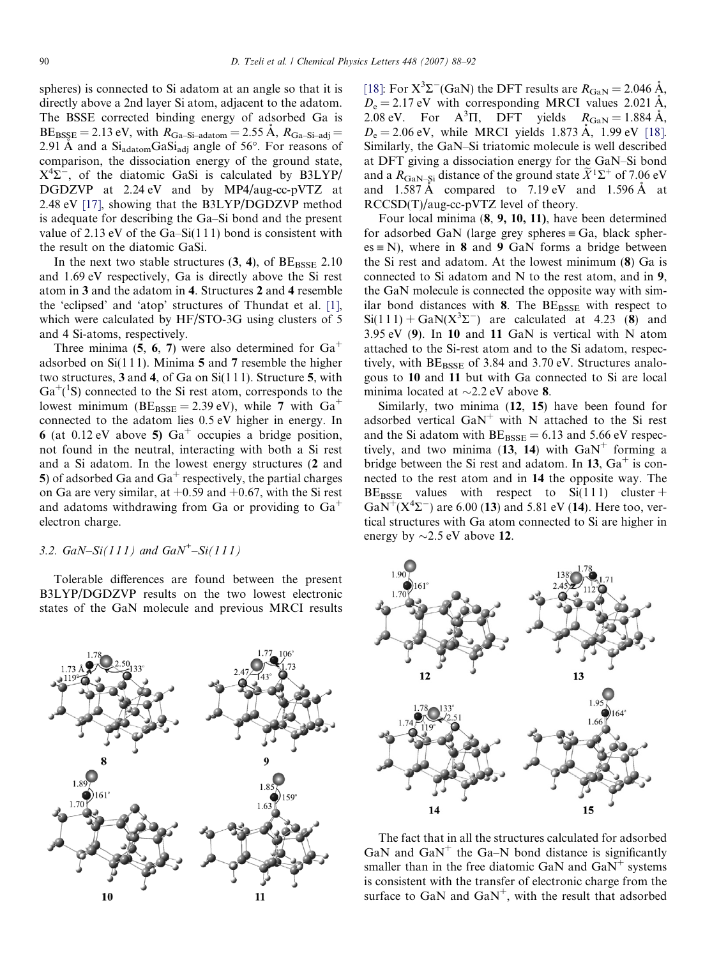spheres) is connected to Si adatom at an angle so that it is directly above a 2nd layer Si atom, adjacent to the adatom. The BSSE corrected binding energy of adsorbed Ga is  $BE_{BSSE} = 2.13$  eV, with  $R_{Ga-Si-adatom} = 2.55 \text{ Å}, R_{Ga-Si-adj} =$ 2.91 A and a  $Si<sub>adatom</sub>GaSi<sub>adj</sub>$  angle of 56°. For reasons of comparison, the dissociation energy of the ground state,  $X^4\Sigma$ , of the diatomic GaSi is calculated by B3LYP/ DGDZVP at 2.24 eV and by MP4/aug-cc-pVTZ at 2.48 eV [\[17\],](#page-4-0) showing that the B3LYP/DGDZVP method is adequate for describing the Ga–Si bond and the present value of 2.13 eV of the Ga–Si $(111)$  bond is consistent with the result on the diatomic GaSi.

In the next two stable structures  $(3, 4)$ , of  $BE_{BSSE}$  2.10 and 1.69 eV respectively, Ga is directly above the Si rest atom in 3 and the adatom in 4. Structures 2 and 4 resemble the 'eclipsed' and 'atop' structures of Thundat et al. [\[1\]](#page-4-0), which were calculated by HF/STO-3G using clusters of 5 and 4 Si-atoms, respectively.

Three minima (5, 6, 7) were also determined for  $Ga<sup>+</sup>$ adsorbed on Si(1 1 1). Minima 5 and 7 resemble the higher two structures, 3 and 4, of Ga on Si(1 1 1). Structure 5, with  $Ga^{+}(^1S)$  connected to the Si rest atom, corresponds to the lowest minimum ( $BE_{BSSE} = 2.39$  eV), while 7 with  $Ga^+$ connected to the adatom lies 0.5 eV higher in energy. In 6 (at 0.12 eV above 5)  $Ga^+$  occupies a bridge position, not found in the neutral, interacting with both a Si rest and a Si adatom. In the lowest energy structures (2 and 5) of adsorbed Ga and  $Ga<sup>+</sup>$  respectively, the partial charges on Ga are very similar, at  $+0.59$  and  $+0.67$ , with the Si rest and adatoms withdrawing from Ga or providing to  $Ga<sup>+</sup>$ electron charge.

## 3.2.  $GaN-Si(111)$  and  $GaN^{+}-Si(111)$

Tolerable differences are found between the present B3LYP/DGDZVP results on the two lowest electronic states of the GaN molecule and previous MRCI results



[\[18\]](#page-4-0): For  $X^3\Sigma$ <sup>-</sup>(GaN) the DFT results are  $R_{\rm GaN} = 2.046 \text{ Å}$ ,  $D_e = 2.17$  eV with corresponding MRCI values 2.021 Å, 2.08 eV. For  $A^3\Pi$ , DFT yields  $R_{\text{GaN}} = 1.884 \text{ Å}$ ,  $D_e = 2.06 \text{ eV}$ , while MRCI yields 1.873 Å, 1.99 eV [\[18\]](#page-4-0). Similarly, the GaN–Si triatomic molecule is well described at DFT giving a dissociation energy for the GaN–Si bond and a  $R_{\text{GaN-Si}}$  distance of the ground state  $\widetilde{X}^1\Sigma^+$  of 7.06 eV and  $1.587 \text{ Å}$  compared to  $7.19 \text{ eV}$  and  $1.596 \text{ Å}$  at RCCSD(T)/aug-cc-pVTZ level of theory.

Four local minima (8, 9, 10, 11), have been determined for adsorbed GaN (large grey spheres  $\equiv$  Ga, black spher $es \equiv N$ ), where in 8 and 9 GaN forms a bridge between the Si rest and adatom. At the lowest minimum (8) Ga is connected to Si adatom and N to the rest atom, and in 9, the GaN molecule is connected the opposite way with similar bond distances with 8. The  $BE_{BSSE}$  with respect to  $Si(111) + GaN(X<sup>3</sup>\Sigma<sup>-</sup>)$  are calculated at 4.23 (8) and 3.95 eV (9). In 10 and 11 GaN is vertical with N atom attached to the Si-rest atom and to the Si adatom, respectively, with  $BE_{BSSE}$  of 3.84 and 3.70 eV. Structures analogous to 10 and 11 but with Ga connected to Si are local minima located at  $\sim$ 2.2 eV above 8.

Similarly, two minima (12, 15) have been found for adsorbed vertical  $GaN^+$  with N attached to the Si rest and the Si adatom with  $BE_{BSSE} = 6.13$  and 5.66 eV respectively, and two minima (13, 14) with  $GaN^+$  forming a bridge between the Si rest and adatom. In 13,  $Ga<sup>+</sup>$  is connected to the rest atom and in 14 the opposite way. The  $BE_{BSSE}$  values with respect to  $Si(111)$  cluster +  $\text{GaN}^+(X^4\Sigma^-)$  are 6.00 (13) and 5.81 eV (14). Here too, vertical structures with Ga atom connected to Si are higher in energy by  $\sim$ 2.5 eV above 12.



The fact that in all the structures calculated for adsorbed GaN and  $GaN^+$  the Ga–N bond distance is significantly smaller than in the free diatomic GaN and  $GaN^+$  systems is consistent with the transfer of electronic charge from the surface to GaN and  $\text{GaN}^+$ , with the result that adsorbed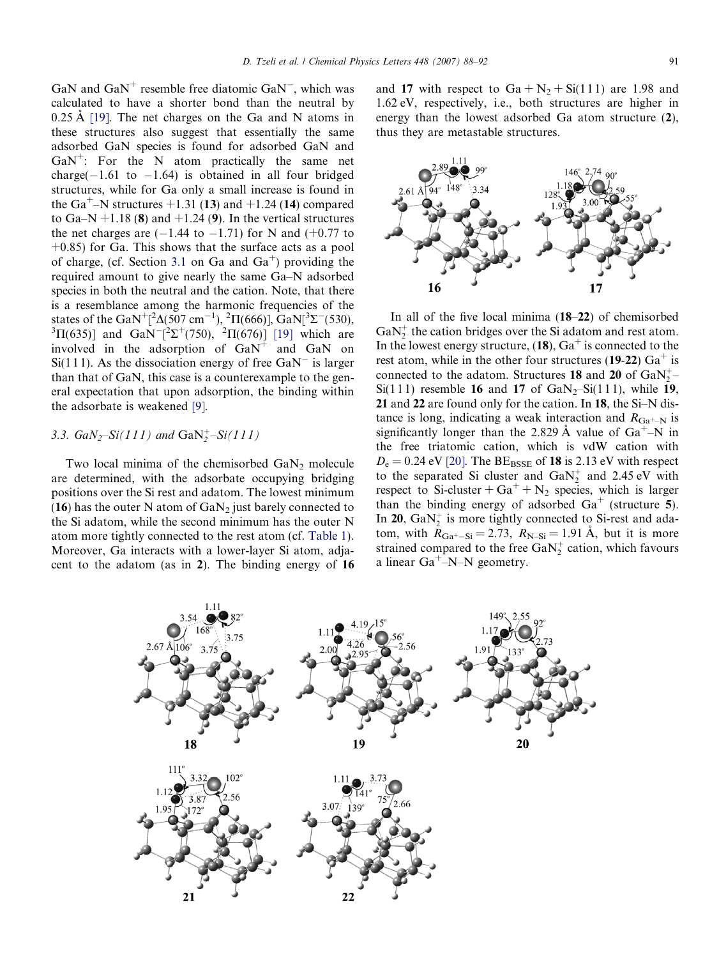GaN and  $\text{GaN}^+$  resemble free diatomic  $\text{GaN}^-$ , which was calculated to have a shorter bond than the neutral by  $0.25 \text{ Å}$  [\[19\]](#page-4-0). The net charges on the Ga and N atoms in these structures also suggest that essentially the same adsorbed GaN species is found for adsorbed GaN and  $GaN^{+}$ : For the N atom practically the same net  $charge(-1.61$  to  $-1.64)$  is obtained in all four bridged structures, while for Ga only a small increase is found in the Ga<sup>+</sup>–N structures +1.31 (13) and +1.24 (14) compared to Ga–N  $+1.18$  (8) and  $+1.24$  (9). In the vertical structures the net charges are  $(-1.44$  to  $-1.71)$  for N and  $(+0.77$  to  $+0.85$ ) for Ga. This shows that the surface acts as a pool of charge, (cf. Section [3.1](#page-1-0) on Ga and  $Ga<sup>+</sup>$ ) providing the required amount to give nearly the same Ga–N adsorbed species in both the neutral and the cation. Note, that there is a resemblance among the harmonic frequencies of the states of the GaN<sup>+</sup>[<sup>2</sup> $\Delta$ (507 cm<sup>-1</sup>), <sup>2</sup> $\Pi$ (666)], GaN[<sup>3</sup> $\Sigma$ <sup>-</sup>(530),  ${}^{3}\Pi(635)$ ] and GaN<sup>--</sup>[<sup>2</sup> $\Sigma^{+}(750)$ , <sup>2</sup> $\Pi(676)$ ] [\[19\]](#page-4-0) which are involved in the adsorption of  $GaN^+$  and  $GaN$  on  $Si(111)$ . As the dissociation energy of free GaN<sup>-</sup> is larger than that of GaN, this case is a counterexample to the general expectation that upon adsorption, the binding within the adsorbate is weakened [\[9\].](#page-4-0)

## 3.3.  $GaN_2-Si(111)$  and  $GaN_2^+ - Si(111)$

Two local minima of the chemisorbed  $GaN_2$  molecule are determined, with the adsorbate occupying bridging positions over the Si rest and adatom. The lowest minimum (16) has the outer N atom of  $GaN_2$  just barely connected to the Si adatom, while the second minimum has the outer N atom more tightly connected to the rest atom (cf. [Table 1\)](#page-1-0). Moreover, Ga interacts with a lower-layer Si atom, adjacent to the adatom (as in 2). The binding energy of 16 and 17 with respect to  $Ga + N_2 + Si(111)$  are 1.98 and 1.62 eV, respectively, i.e., both structures are higher in energy than the lowest adsorbed Ga atom structure (2), thus they are metastable structures.



In all of the five local minima (18–22) of chemisorbed  $GaN_2^+$  the cation bridges over the Si adatom and rest atom. In the lowest energy structure,  $(18)$ ,  $Ga<sup>+</sup>$  is connected to the rest atom, while in the other four structures (19-22)  $Ga<sup>+</sup>$  is connected to the adatom. Structures 18 and 20 of  $\text{GaN}_2^+$ Si(111) resemble 16 and 17 of  $\text{GaN}_2-\text{Si}(111)$ , while 19, 21 and 22 are found only for the cation. In 18, the Si–N distance is long, indicating a weak interaction and  $R_{Ga^{+}-N}$  is significantly longer than the 2.829 Å value of  $Ga^+$ –N in the free triatomic cation, which is vdW cation with  $D_e = 0.24$  eV [\[20\].](#page-4-0) The BE<sub>BSSE</sub> of **18** is 2.13 eV with respect to the separated Si cluster and  $\text{GaN}_2^+$  and 2.45 eV with respect to Si-cluster +  $Ga^+$  + N<sub>2</sub> species, which is larger than the binding energy of adsorbed  $Ga<sup>+</sup>$  (structure 5). In 20,  $GaN_2^+$  is more tightly connected to Si-rest and adatom, with  $R_{Ga^+ - Si} = 2.73$ ,  $R_{N-Si} = 1.91$  Å, but it is more strained compared to the free  $\text{GaN}_2^+$  cation, which favours a linear  $Ga^+$ –N–N geometry.